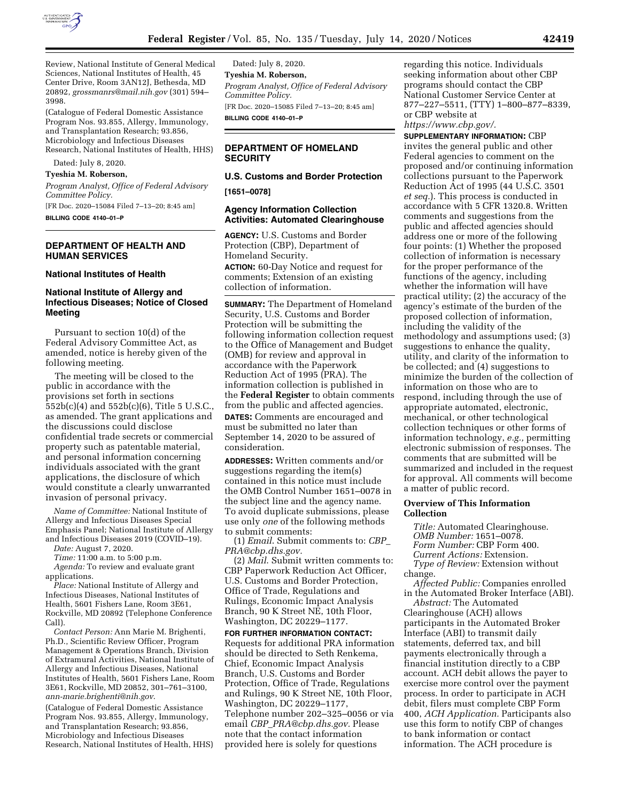

Review, National Institute of General Medical Sciences, National Institutes of Health, 45 Center Drive, Room 3AN12J, Bethesda, MD 20892, *[grossmanrs@mail.nih.gov](mailto:grossmanrs@mail.nih.gov)* (301) 594– 3998.

(Catalogue of Federal Domestic Assistance Program Nos. 93.855, Allergy, Immunology, and Transplantation Research; 93.856, Microbiology and Infectious Diseases Research, National Institutes of Health, HHS)

Dated: July 8, 2020.

#### **Tyeshia M. Roberson,**

*Program Analyst, Office of Federal Advisory Committee Policy.* 

[FR Doc. 2020–15084 Filed 7–13–20; 8:45 am] **BILLING CODE 4140–01–P** 

# **DEPARTMENT OF HEALTH AND HUMAN SERVICES**

#### **National Institutes of Health**

# **National Institute of Allergy and Infectious Diseases; Notice of Closed Meeting**

Pursuant to section 10(d) of the Federal Advisory Committee Act, as amended, notice is hereby given of the following meeting.

The meeting will be closed to the public in accordance with the provisions set forth in sections 552b(c)(4) and 552b(c)(6), Title 5 U.S.C., as amended. The grant applications and the discussions could disclose confidential trade secrets or commercial property such as patentable material, and personal information concerning individuals associated with the grant applications, the disclosure of which would constitute a clearly unwarranted invasion of personal privacy.

*Name of Committee:* National Institute of Allergy and Infectious Diseases Special Emphasis Panel; National Institute of Allergy and Infectious Diseases 2019 (COVID–19).

*Date:* August 7, 2020.

*Time:* 11:00 a.m. to 5:00 p.m.

*Agenda:* To review and evaluate grant applications.

*Place:* National Institute of Allergy and Infectious Diseases, National Institutes of Health, 5601 Fishers Lane, Room 3E61, Rockville, MD 20892 (Telephone Conference Call).

*Contact Person:* Ann Marie M. Brighenti, Ph.D., Scientific Review Officer, Program Management & Operations Branch, Division of Extramural Activities, National Institute of Allergy and Infectious Diseases, National Institutes of Health, 5601 Fishers Lane, Room 3E61, Rockville, MD 20852, 301–761–3100, *[ann-marie.brighenti@nih.gov](mailto:ann-marie.brighenti@nih.gov)*.

(Catalogue of Federal Domestic Assistance Program Nos. 93.855, Allergy, Immunology, and Transplantation Research; 93.856, Microbiology and Infectious Diseases Research, National Institutes of Health, HHS)

Dated: July 8, 2020. **Tyeshia M. Roberson,**  *Program Analyst, Office of Federal Advisory Committee Policy.*  [FR Doc. 2020–15085 Filed 7–13–20; 8:45 am] **BILLING CODE 4140–01–P** 

## **DEPARTMENT OF HOMELAND SECURITY**

# **U.S. Customs and Border Protection**

**[1651–0078]** 

#### **Agency Information Collection Activities: Automated Clearinghouse**

**AGENCY:** U.S. Customs and Border Protection (CBP), Department of Homeland Security. **ACTION:** 60-Day Notice and request for comments; Extension of an existing collection of information.

**SUMMARY:** The Department of Homeland Security, U.S. Customs and Border Protection will be submitting the following information collection request to the Office of Management and Budget (OMB) for review and approval in accordance with the Paperwork Reduction Act of 1995 (PRA). The information collection is published in the **Federal Register** to obtain comments from the public and affected agencies. **DATES:** Comments are encouraged and must be submitted no later than September 14, 2020 to be assured of consideration.

**ADDRESSES:** Written comments and/or suggestions regarding the item(s) contained in this notice must include the OMB Control Number 1651–0078 in the subject line and the agency name. To avoid duplicate submissions, please use only *one* of the following methods to submit comments:

(1) *Email*. Submit comments to: *[CBP](mailto:CBP_PRA@cbp.dhs.gov)*\_ *[PRA@cbp.dhs.gov.](mailto:CBP_PRA@cbp.dhs.gov)* 

(2) *Mail*. Submit written comments to: CBP Paperwork Reduction Act Officer, U.S. Customs and Border Protection, Office of Trade, Regulations and Rulings, Economic Impact Analysis Branch, 90 K Street NE, 10th Floor, Washington, DC 20229–1177.

**FOR FURTHER INFORMATION CONTACT:**  Requests for additional PRA information should be directed to Seth Renkema, Chief, Economic Impact Analysis Branch, U.S. Customs and Border Protection, Office of Trade, Regulations and Rulings, 90 K Street NE, 10th Floor, Washington, DC 20229–1177, Telephone number 202–325–0056 or via email *CBP*\_*[PRA@cbp.dhs.gov.](mailto:CBP_PRA@cbp.dhs.gov)* Please note that the contact information provided here is solely for questions

regarding this notice. Individuals seeking information about other CBP programs should contact the CBP National Customer Service Center at 877–227–5511, (TTY) 1–800–877–8339, or CBP website at *[https://www.cbp.gov/.](https://www.cbp.gov/)* 

**SUPPLEMENTARY INFORMATION:** CBP invites the general public and other Federal agencies to comment on the proposed and/or continuing information collections pursuant to the Paperwork Reduction Act of 1995 (44 U.S.C. 3501 *et seq.*). This process is conducted in accordance with 5 CFR 1320.8. Written comments and suggestions from the public and affected agencies should address one or more of the following four points: (1) Whether the proposed collection of information is necessary for the proper performance of the functions of the agency, including whether the information will have practical utility; (2) the accuracy of the agency's estimate of the burden of the proposed collection of information, including the validity of the methodology and assumptions used; (3) suggestions to enhance the quality, utility, and clarity of the information to be collected; and (4) suggestions to minimize the burden of the collection of information on those who are to respond, including through the use of appropriate automated, electronic, mechanical, or other technological collection techniques or other forms of information technology, *e.g.,* permitting electronic submission of responses. The comments that are submitted will be summarized and included in the request for approval. All comments will become a matter of public record.

#### **Overview of This Information Collection**

*Title:* Automated Clearinghouse. *OMB Number:* 1651–0078. *Form Number:* CBP Form 400. *Current Actions:* Extension. *Type of Review:* Extension without change.

*Affected Public:* Companies enrolled in the Automated Broker Interface (ABI).

*Abstract:* The Automated Clearinghouse (ACH) allows participants in the Automated Broker Interface (ABI) to transmit daily statements, deferred tax, and bill payments electronically through a financial institution directly to a CBP account. ACH debit allows the payer to exercise more control over the payment process. In order to participate in ACH debit, filers must complete CBP Form 400, *ACH Application.* Participants also use this form to notify CBP of changes to bank information or contact information. The ACH procedure is